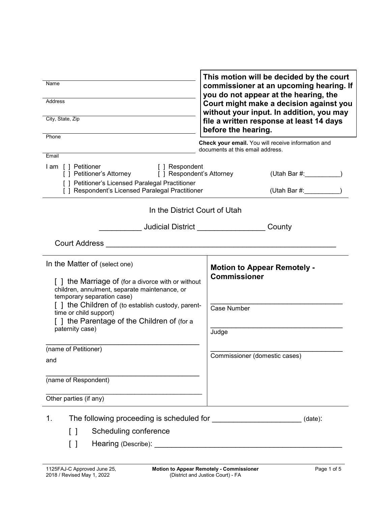| This motion will be decided by the court<br>Name<br>commissioner at an upcoming hearing. If<br>you do not appear at the hearing, the<br><b>Address</b><br>Court might make a decision against you<br>without your input. In addition, you may<br>City, State, Zip<br>file a written response at least 14 days<br>before the hearing. |                                                                                        |  |
|--------------------------------------------------------------------------------------------------------------------------------------------------------------------------------------------------------------------------------------------------------------------------------------------------------------------------------------|----------------------------------------------------------------------------------------|--|
| Phone                                                                                                                                                                                                                                                                                                                                | Check your email. You will receive information and<br>documents at this email address. |  |
| Email<br>I am [] Petitioner<br>[ ] Respondent                                                                                                                                                                                                                                                                                        |                                                                                        |  |
| [] Petitioner's Attorney [] Respondent's Attorney                                                                                                                                                                                                                                                                                    | (Utah Bar #: __________                                                                |  |
| [ ] Petitioner's Licensed Paralegal Practitioner<br>[ ] Respondent's Licensed Paralegal Practitioner                                                                                                                                                                                                                                 |                                                                                        |  |
| In the District Court of Utah                                                                                                                                                                                                                                                                                                        |                                                                                        |  |
|                                                                                                                                                                                                                                                                                                                                      | <b>Judicial District Analysis of the United States</b><br>County                       |  |
| <b>Court Address</b>                                                                                                                                                                                                                                                                                                                 | <u> 2001 - Januar Amerikaanse konstantinoplerin (</u>                                  |  |
| In the Matter of (select one)<br>[] the Marriage of (for a divorce with or without<br>children, annulment, separate maintenance, or<br>temporary separation case)                                                                                                                                                                    | <b>Motion to Appear Remotely -</b><br><b>Commissioner</b>                              |  |
| [] the Children of (to establish custody, parent-<br>time or child support)<br>[] the Parentage of the Children of (for a<br>paternity case)                                                                                                                                                                                         | Case Number<br>Judge                                                                   |  |
| (name of Petitioner)<br>and                                                                                                                                                                                                                                                                                                          | Commissioner (domestic cases)                                                          |  |
| (name of Respondent)                                                                                                                                                                                                                                                                                                                 |                                                                                        |  |
| Other parties (if any)                                                                                                                                                                                                                                                                                                               |                                                                                        |  |
| 1.<br>Scheduling conference<br>Γl<br>[ ]                                                                                                                                                                                                                                                                                             | $(data)$ :                                                                             |  |
|                                                                                                                                                                                                                                                                                                                                      |                                                                                        |  |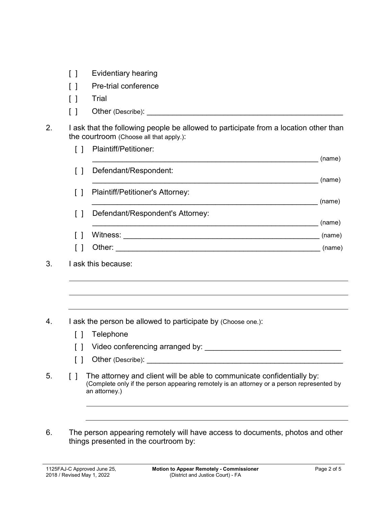- [ ] Evidentiary hearing
- [ ] Pre-trial conference
- [ ] Trial
- [ ] Other (Describe):
- 2. I ask that the following people be allowed to participate from a location other than the courtroom (Choose all that apply.):

|        | Plaintiff/Petitioner:            | (name) |
|--------|----------------------------------|--------|
| $\Box$ | Defendant/Respondent:            |        |
|        |                                  | (name) |
| $\Box$ | Plaintiff/Petitioner's Attorney: |        |
|        |                                  | (name) |
| $\Box$ | Defendant/Respondent's Attorney: |        |
|        |                                  | (name) |
|        | Witness:                         | (name) |
|        | Other:                           | (name) |
|        |                                  |        |

- 4. I ask the person be allowed to participate by (Choose one.):
	- [ ] Telephone
	- [ ] Video conferencing arranged by: \_\_\_\_\_\_\_\_\_\_\_\_\_\_\_\_\_\_\_\_\_\_\_\_\_\_\_\_\_\_\_\_
	- $\begin{bmatrix} \phantom{a} \end{bmatrix}$  Other (Describe):
- 5. [ ] The attorney and client will be able to communicate confidentially by: (Complete only if the person appearing remotely is an attorney or a person represented by an attorney.)
- 6. The person appearing remotely will have access to documents, photos and other things presented in the courtroom by:

<sup>3.</sup> I ask this because: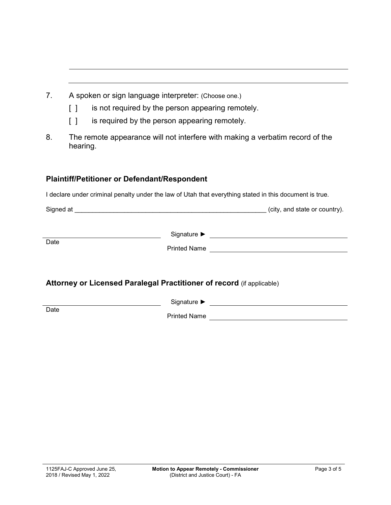- 7. A spoken or sign language interpreter: (Choose one.)
	- [ ] is not required by the person appearing remotely.
	- [ ] is required by the person appearing remotely.
- 8. The remote appearance will not interfere with making a verbatim record of the hearing.

## **Plaintiff/Petitioner or Defendant/Respondent**

I declare under criminal penalty under the law of Utah that everything stated in this document is true.

| Signed at |  | (city, and state or country). |  |
|-----------|--|-------------------------------|--|
|           |  |                               |  |

Signature ► Production Designature → Production Designation Designation Designation Designation Designation Designation Designation Designation Designation Designation Designation Designation Designation Designation Desig **Date** Printed Name

### **Attorney or Licensed Paralegal Practitioner of record** (if applicable)

Signature ► **Date** 

Printed Name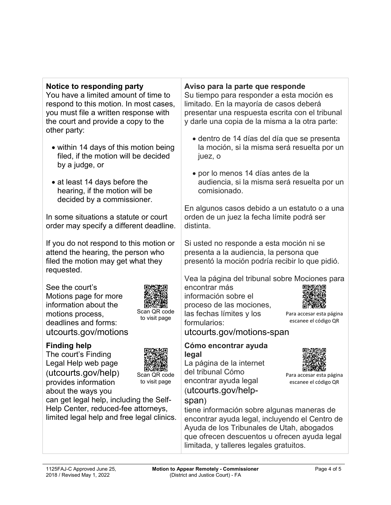### **Notice to responding party**

You have a limited amount of time to respond to this motion. In most cases, you must file a written response with the court and provide a copy to the other party:

- within 14 days of this motion being filed, if the motion will be decided by a judge, or
- at least 14 days before the hearing, if the motion will be decided by a commissioner.

In some situations a statute or court order may specify a different deadline.

If you do not respond to this motion or attend the hearing, the person who filed the motion may get what they requested.

See the court's Motions page for more information about the motions process, deadlines and forms: utcourts.gov/motions



Scan QR code to visit page

# **Finding help**

The court's Finding Legal Help web page (utcourts.gov/help) provides information about the ways you



Scan QR code to visit page

can get legal help, including the Self-Help Center, reduced-fee attorneys, limited legal help and free legal clinics.

#### **Aviso para la parte que responde**

Su tiempo para responder a esta moción es limitado. En la mayoría de casos deberá presentar una respuesta escrita con el tribunal y darle una copia de la misma a la otra parte:

- dentro de 14 días del día que se presenta la moción, si la misma será resuelta por un juez, o
- por lo menos 14 días antes de la audiencia, si la misma será resuelta por un comisionado.

En algunos casos debido a un estatuto o a una orden de un juez la fecha límite podrá ser distinta.

Si usted no responde a esta moción ni se presenta a la audiencia, la persona que presentó la moción podría recibir lo que pidió.

Vea la página del tribunal sobre Mociones para

encontrar más información sobre el proceso de las mociones, las fechas límites y los formularios:



Para accesar esta página escanee el código QR

Para accesar esta página escanee el código QR

utcourts.gov/motions-span

#### **Cómo encontrar ayuda legal**

La página de la internet del tribunal Cómo encontrar ayuda legal (utcourts.gov/help-

# span)

tiene información sobre algunas maneras de encontrar ayuda legal, incluyendo el Centro de Ayuda de los Tribunales de Utah, abogados que ofrecen descuentos u ofrecen ayuda legal limitada, y talleres legales gratuitos.